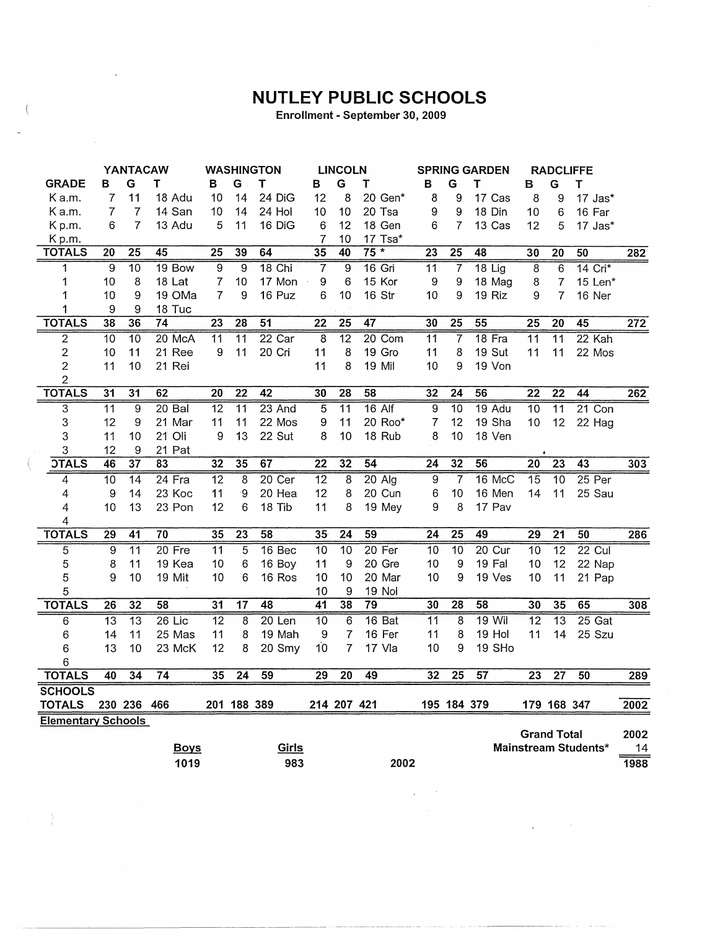## **NUTLEY PUBLIC SCHOOLS**

Enrollment - September 30, 2009

|                           |                 | YANTACAW        |                 |                 |                 | <b>WASHINGTON</b> |                 | <b>LINCOLN</b>  |                 |                 |                 | <b>SPRING GARDEN</b> |                 | <b>RADCLIFFE</b>   |                      |                  |
|---------------------------|-----------------|-----------------|-----------------|-----------------|-----------------|-------------------|-----------------|-----------------|-----------------|-----------------|-----------------|----------------------|-----------------|--------------------|----------------------|------------------|
| <b>GRADE</b>              | в               | G               | т               | в               | G               | т                 | B               | G               | т               | В               | G               | T                    | в               | G                  | T                    |                  |
| Ka.m.                     | 7               | 11              | 18 Adu          | 10              | 14              | 24 DiG            | 12              | 8               | 20 Gen*         | 8               | 9               | 17 Cas               | 8               | 9                  | 17 Jas*              |                  |
| Ka.m.                     | 7               | $\overline{7}$  | 14 San          | 10              | 14              | 24 Hol            | 10              | 10              | 20 Tsa          | 9               | 9               | 18 Din               | 10              | 6                  | 16 Far               |                  |
| Kp.m.                     | 6               | $\overline{7}$  | 13 Adu          | 5               | 11              | 16 DiG            | $\,6$           | 12              | 18 Gen          | 6               | $\overline{7}$  | 13 Cas               | 12              | 5                  | 17 Jas*              |                  |
| Kp.m.                     |                 |                 |                 |                 |                 |                   | 7               | 10              | 17 Tsa*         |                 |                 |                      |                 |                    |                      |                  |
| <b>TOTALS</b>             | 20              | $\overline{25}$ | $\overline{45}$ | 25              | 39              | 64                | $\overline{35}$ | 40              | $75*$           | $\overline{23}$ | $\overline{25}$ | 48                   | 30              | $\overline{20}$    | 50                   | 282              |
| 1                         | 9               | $\overline{10}$ | 19 Bow          | $\overline{9}$  | 9               | $18$ Chi          | 7               | $\overline{9}$  | $16$ Gri        | $\overline{11}$ | 7               | $18$ Lig             | $\overline{8}$  | 6                  | $14$ Cri $*$         |                  |
| 1                         | 10              | 8               | 18 Lat          | 7               | 10              | 17 Mon            | 9               | 6               | 15 Kor          | 9               | 9               | 18 Mag               | 8               | $\overline{7}$     | 15 Len*              |                  |
| 1                         | 10              | 9               | 19 OMa          | 7               | 9               | 16 Puz            | 6               | 10              | 16 Str          | 10              | 9               | 19 Riz               | 9               | 7                  | 16 Ner               |                  |
| 1                         | 9               | 9               | 18 Tuc          |                 |                 |                   |                 |                 |                 |                 |                 |                      |                 |                    |                      |                  |
| <b>TOTALS</b>             | 38              | 36              | 74              | 23              | 28              | $\overline{51}$   | $\overline{22}$ | 25              | 47              | 30              | 25              | 55                   | $\overline{25}$ | $\overline{20}$    | $\overline{45}$      | 272              |
| $\overline{2}$            | $\overline{10}$ | $\overline{10}$ | 20 McA          | $\overline{11}$ | $\overline{11}$ | $22$ Car          | $\overline{8}$  | $\overline{12}$ | 20 Com          | $\overline{11}$ | 7               | 18 Fra               | $\overline{11}$ | $\overline{11}$    | 22 Kah               |                  |
| $\overline{c}$            | 10              | 11              | 21 Ree          | 9               | 11              | 20 Cri            | 11              | 8               | 19 Gro          | 11              | 8               | 19 Sut               | 11              | 11                 | 22 Mos               |                  |
| $\overline{2}$            | 11              | 10              | 21 Rei          |                 |                 |                   | 11              | 8               | 19 Mil          | 10              | 9               | 19 Von               |                 |                    |                      |                  |
| 2                         |                 |                 |                 |                 |                 |                   |                 |                 |                 |                 |                 |                      |                 |                    |                      |                  |
| <b>TOTALS</b>             | 31              | 31              | 62              | 20              | 22              | $\overline{42}$   | 30              | $\overline{28}$ | 58              | 32              | 24              | 56                   | 22              | $\overline{22}$    | 44                   | 262              |
| $\overline{3}$            | 11              | 9               | $20$ Bal        | 12              | $\overline{11}$ | 23 And            | $\overline{5}$  | $\overline{11}$ | $16$ Alf        | 9               | 10              | 19 Adu               | 10              | $\overline{11}$    | $21$ Con             |                  |
| 3                         | 12              | 9               | 21 Mar          | 11              | 11              | 22 Mos            | 9               | 11              | 20 Roo*         | $\overline{7}$  | 12              | 19 Sha               | 10              | 12                 | 22 Hag               |                  |
| 3                         | 11              | 10              | 21 Oli          | 9               | 13              | 22 Sut            | 8               | 10              | 18 Rub          | 8               | 10              | 18 Ven               |                 |                    |                      |                  |
| 3                         | 12              | 9               | 21 Pat          |                 |                 |                   |                 |                 |                 |                 |                 |                      |                 |                    |                      |                  |
| <b>OTALS</b>              | 46              | $\overline{37}$ | 83              | 32              | 35              | 67                | $\overline{22}$ | $\overline{32}$ | 54              | $\overline{24}$ | 32              | $\overline{56}$      | 20              | 23                 | 43                   | $\overline{30}3$ |
| 4                         | $\overline{10}$ | $\overline{14}$ | $24$ Fra        | $\overline{12}$ | 8               | 20 Cer            | $\overline{12}$ | 8               | $20$ Alg        | 9               | 7               | $16$ McC             | 15              | $\overline{10}$    | 25 Per               |                  |
| 4                         | 9               | 14              | 23 Koc          | 11              | -9              | 20 Hea            | 12              | 8               | 20 Cun          | 6               | 10              | 16 Men               | 14              | 11                 | 25 Sau               |                  |
| 4                         | 10              | 13              | 23 Pon          | 12              | 6               | 18 Tib            | 11              | 8               | 19 Mey          | 9               | 8               | 17 Pav               |                 |                    |                      |                  |
| 4                         |                 |                 |                 |                 |                 |                   |                 |                 |                 |                 |                 |                      |                 |                    |                      |                  |
| <b>TOTALS</b>             | 29              | 41              | 70              | 35              | $\overline{23}$ | 58                | 35              | $\overline{24}$ | $\overline{59}$ | 24              | 25              | 49                   | 29              | $\overline{21}$    | 50                   | 286              |
| 5                         | 9               | $\overline{11}$ | $20$ Fre        | $\overline{11}$ | 5               | 16 <sub>Bec</sub> | $\overline{10}$ | $\overline{10}$ | $20$ Fer        | 10              | 10              | $20$ Cur             | $\overline{10}$ | $\overline{12}$    | $22$ Cul             |                  |
| 5                         | 8               | 11              | 19 Kea          | 10              | 6               | 16 Boy            | 11              | 9               | 20 Gre          | 10              | 9               | 19 Fal               | 10              | 12                 | 22 Nap               |                  |
| 5                         | 9               | 10              | 19 Mit          | 10              | 6               | 16 Ros            | 10              | 10              | 20 Mar          | 10              | 9               | 19 Ves               | 10              | 11                 | 21 Pap               |                  |
| 5                         |                 |                 |                 |                 |                 |                   | 10              | 9               | 19 Nol          |                 |                 |                      |                 |                    |                      |                  |
| <b>TOTALS</b>             | 26              | $\overline{32}$ | 58              | 31              | $\overline{17}$ | 48                | 41              | 38              | 79              | 30              | 28              | 58                   | 30              | 35                 | 65                   | 308              |
| 6                         | $\overline{13}$ | $\overline{13}$ | $26$ Lic        | $\overline{12}$ | 8               | $20$ Len          | $\overline{10}$ | $\overline{6}$  | 16 Bat          | $\overline{11}$ | 8               | $19$ Wil             | $\overline{12}$ | $\overline{13}$    | $25$ Gat             |                  |
| 6                         | 14              | 11              | 25 Mas          | 11              | 8               | 19 Mah            | 9               | 7               | 16 Fer          | 11              | 8               | 19 Hol               | 11              | 14                 | 25 Szu               |                  |
| 6                         | 13              | 10              | 23 McK          | 12              | 8               | 20 Smy            | 10              | $\overline{7}$  | 17 Vla          | 10              | 9               | 19 SHo               |                 |                    |                      |                  |
| 6                         |                 |                 |                 |                 |                 |                   |                 |                 |                 |                 |                 |                      |                 |                    |                      |                  |
| <b>TOTALS</b>             | 40              | 34              | 74              | 35              | 24              | $\overline{59}$   | 29              | $\overline{20}$ | 49              | 32              | $\overline{25}$ | 57                   | 23              | $\overline{27}$    | 50                   | 289              |
| <b>SCHOOLS</b>            |                 |                 |                 |                 |                 |                   |                 |                 |                 |                 |                 |                      |                 |                    |                      |                  |
| <b>TOTALS</b>             |                 | 230 236         | 466             |                 | 201 188 389     |                   |                 | 214 207 421     |                 |                 | 195 184 379     |                      |                 | 179 168 347        |                      | 2002             |
| <b>Elementary Schools</b> |                 |                 |                 |                 |                 |                   |                 |                 |                 |                 |                 |                      |                 |                    |                      |                  |
|                           |                 |                 |                 |                 |                 |                   |                 |                 |                 |                 |                 |                      |                 | <b>Grand Total</b> |                      | 2002             |
|                           |                 |                 | <b>Boys</b>     |                 |                 | Girls             |                 |                 |                 |                 |                 |                      |                 |                    | Mainstream Students* | 14               |
|                           |                 |                 | 1019            |                 |                 | 983               |                 |                 | 2002            |                 |                 |                      |                 |                    |                      | 1988             |

 $\ddot{\phantom{a}}$ 

 $\alpha$ 

 $\bar{\chi}$